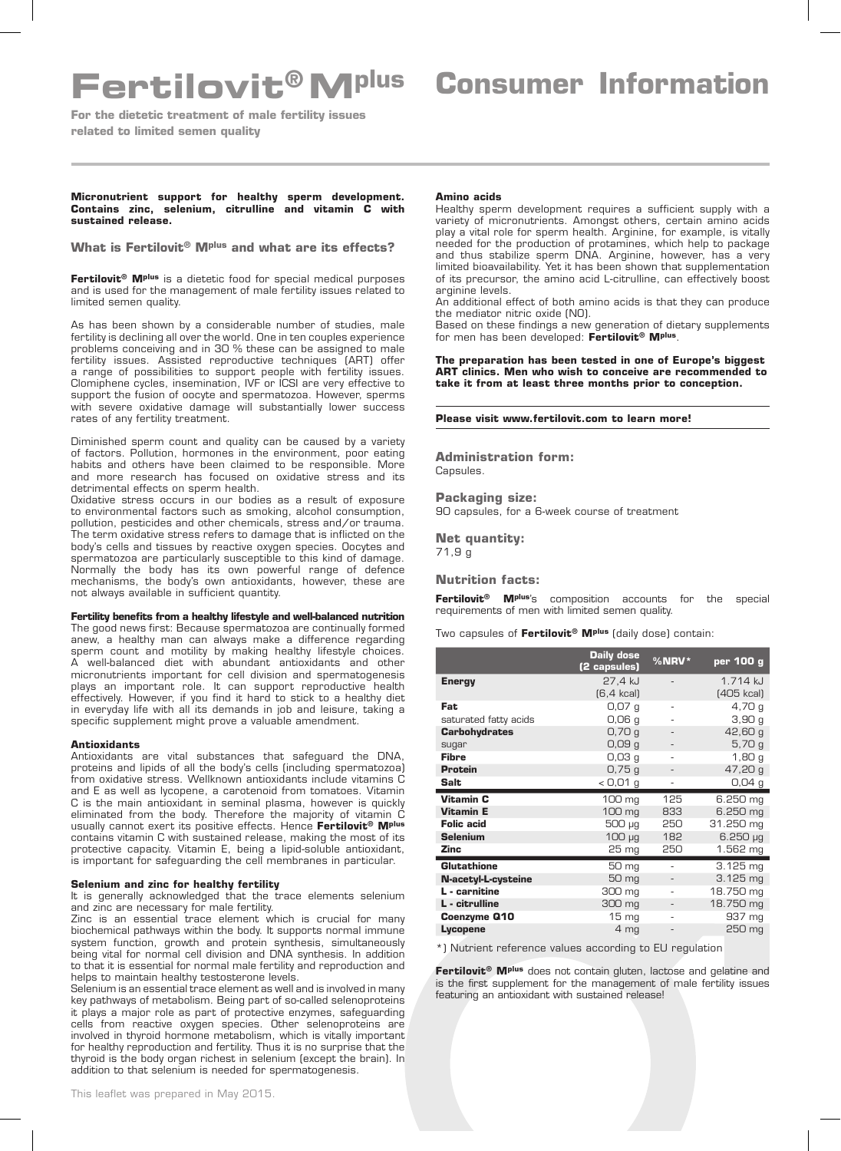# **Fertilovit®Mplus Consumer Information**

**For the dietetic treatment of male fertility issues related to limited semen quality** 

### **Micronutrient support for healthy sperm development. Contains zinc, selenium, citrulline and vitamin C with sustained release.**

**What is Fertilovit® Mplus and what are its effects?**

**Fertilovit® Mplus** is a dietetic food for special medical purposes and is used for the management of male fertility issues related to limited semen quality.

As has been shown by a considerable number of studies, male fertility is declining all over the world. One in ten couples experience problems conceiving and in 30 % these can be assigned to male fertility issues. Assisted reproductive techniques (ART) offer a range of possibilities to support people with fertility issues. Clomiphene cycles, insemination, IVF or ICSI are very effective to support the fusion of oocyte and spermatozoa. However, sperms with severe oxidative damage will substantially lower success rates of any fertility treatment.

Diminished sperm count and quality can be caused by a variety of factors. Pollution, hormones in the environment, poor eating habits and others have been claimed to be responsible. More and more research has focused on oxidative stress and its detrimental effects on sperm health.

Oxidative stress occurs in our bodies as a result of exposure to environmental factors such as smoking, alcohol consumption, pollution, pesticides and other chemicals, stress and/or trauma. The term oxidative stress refers to damage that is inflicted on the body's cells and tissues by reactive oxygen species. Oocytes and spermatozoa are particularly susceptible to this kind of damage. Normally the body has its own powerful range of defence mechanisms, the body's own antioxidants, however, these are not always available in sufficient quantity.

### **Fertility benefits from a healthy lifestyle and well-balanced nutrition**

The good news first: Because spermatozoa are continually formed anew, a healthy man can always make a difference regarding sperm count and motility by making healthy lifestyle choices. A well-balanced diet with abundant antioxidants and other micronutrients important for cell division and spermatogenesis plays an important role. It can support reproductive health effectively. However, if you find it hard to stick to a healthy diet in everyday life with all its demands in job and leisure, taking a specific supplement might prove a valuable amendment.

### **Antioxidants**

Antioxidants are vital substances that safeguard the DNA, proteins and lipids of all the body's cells (including spermatozoa) from oxidative stress. Wellknown antioxidants include vitamins C and E as well as lycopene, a carotenoid from tomatoes. Vitamin C is the main antioxidant in seminal plasma, however is quickly eliminated from the body. Therefore the majority of vitamin C usually cannot exert its positive effects. Hence **Fertilovit® Mplus**  contains vitamin C with sustained release, making the most of its protective capacity. Vitamin E, being a lipid-soluble antioxidant, is important for safeguarding the cell membranes in particular.

## **Selenium and zinc for healthy fertility**

It is generally acknowledged that the trace elements selenium and zinc are necessary for male fertility.

Zinc is an essential trace element which is crucial for many biochemical pathways within the body. It supports normal immune system function, growth and protein synthesis, simultaneously being vital for normal cell division and DNA synthesis. In addition to that it is essential for normal male fertility and reproduction and helps to maintain healthy testosterone levels.

Selenium is an essential trace element as well and is involved in many key pathways of metabolism. Being part of so-called selenoproteins it plays a major role as part of protective enzymes, safeguarding cells from reactive oxygen species. Other selenoproteins are involved in thyroid hormone metabolism, which is vitally important for healthy reproduction and fertility. Thus it is no surprise that the thyroid is the body organ richest in selenium (except the brain). In addition to that selenium is needed for spermatogenesis.

#### **Amino acids**

Healthy sperm development requires a sufficient supply with a variety of micronutrients. Amongst others, certain amino acids play a vital role for sperm health. Arginine, for example, is vitally needed for the production of protamines, which help to package and thus stabilize sperm DNA. Arginine, however, has a very limited bioavailability. Yet it has been shown that supplementation of its precursor, the amino acid L-citrulline, can effectively boost arginine levels.

An additional effect of both amino acids is that they can produce the mediator nitric oxide (NO).

Based on these findings a new generation of dietary supplements for men has been developed: **Fertilovit® Mplus**.

**The preparation has been tested in one of Europe's biggest ART clinics. Men who wish to conceive are recommended to take it from at least three months prior to conception.**

#### **Please visit www.fertilovit.com to learn more!**

**Administration form:** Capsules.

**Packaging size:** 90 capsules, for a 6-week course of treatment

**Net quantity:** 71,9 g

## **Nutrition facts:**

**Fertilovit® Mplus**'s composition accounts for the special requirements of men with limited semen quality.

Two capsules of **Fertilovit® Mplus** (daily dose) contain:

|                       | <b>Daily dose</b><br>(2 capsules) | $%$ NRV* | per 100 g            |
|-----------------------|-----------------------------------|----------|----------------------|
| <b>Energy</b>         | 27,4 kJ                           |          | 1 714 k.l            |
|                       | $[6, 4$ kcal)                     |          | (405 kcal)           |
| Fat.                  | 0,07,9                            | ٠        | 4,70g                |
| saturated fatty acids | 0,06q                             |          | 3,90q                |
| <b>Carbohydrates</b>  | 0,70q                             |          | 42,60 g              |
| sugar                 | 0,09,9                            |          | 5,70g                |
| <b>Fibre</b>          | $0,03$ q                          |          | 1,80q                |
| <b>Protein</b>        | 0,75,9                            |          | 47,20 g              |
| Salt                  | $<$ 0,01 g                        |          | $0,04$ g             |
| Vitamin C             | 100 mg                            | 125      | 6.250 mg             |
| <b>Vitamin E</b>      | 100 mg                            | 833      | 6.250 mg             |
| <b>Folic acid</b>     | 500 µg                            | 250      | 31.250 mg            |
| <b>Selenium</b>       | $100 \mu g$                       | 182      | $6.250 \mu g$        |
| Zinc                  | 25 <sub>mg</sub>                  | 250      | 1.562 mg             |
| <b>Glutathione</b>    | 50 mg                             | ٠        | $3.125 \, \text{mg}$ |
| N-acetyl-L-cysteine   | 50 mg                             |          | $3.125 \text{ mg}$   |
| L - carnitine         | 300 mg                            |          | 18.750 mg            |
| L - citrulline        | 300 mg                            |          | 18.750 mg            |
| Coenzyme Q10          | $15 \, mg$                        |          | 937 mg               |
| Lycopene              | 4 <sub>mg</sub>                   |          | 250 mg               |

\*) Nutrient reference values according to EU regulation

**Fertilovit® Mplus** does not contain gluten, lactose and gelatine and is the first supplement for the management of male fertility issues featuring an antioxidant with sustained release!